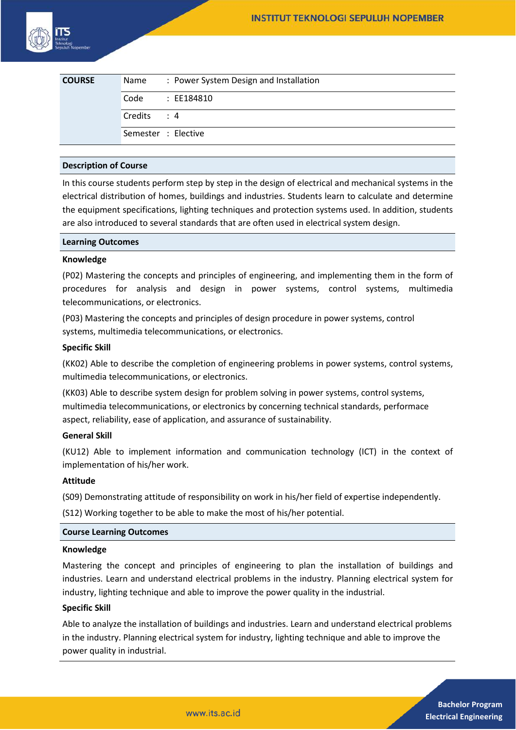| <b>COURSE</b> | Name                | : Power System Design and Installation |
|---------------|---------------------|----------------------------------------|
|               | Code                | : EE184810                             |
|               | Credits: 4          |                                        |
|               | Semester : Elective |                                        |

# **Description of Course**

In this course students perform step by step in the design of electrical and mechanical systems in the electrical distribution of homes, buildings and industries. Students learn to calculate and determine the equipment specifications, lighting techniques and protection systems used. In addition, students are also introduced to several standards that are often used in electrical system design.

### **Learning Outcomes**

#### **Knowledge**

(P02) Mastering the concepts and principles of engineering, and implementing them in the form of procedures for analysis and design in power systems, control systems, multimedia telecommunications, or electronics.

(P03) Mastering the concepts and principles of design procedure in power systems, control systems, multimedia telecommunications, or electronics.

#### **Specific Skill**

(KK02) Able to describe the completion of engineering problems in power systems, control systems, multimedia telecommunications, or electronics.

(KK03) Able to describe system design for problem solving in power systems, control systems, multimedia telecommunications, or electronics by concerning technical standards, performace aspect, reliability, ease of application, and assurance of sustainability.

#### **General Skill**

(KU12) Able to implement information and communication technology (ICT) in the context of implementation of his/her work.

#### **Attitude**

(S09) Demonstrating attitude of responsibility on work in his/her field of expertise independently.

(S12) Working together to be able to make the most of his/her potential.

#### **Course Learning Outcomes**

#### **Knowledge**

Mastering the concept and principles of engineering to plan the installation of buildings and industries. Learn and understand electrical problems in the industry. Planning electrical system for industry, lighting technique and able to improve the power quality in the industrial.

### **Specific Skill**

Able to analyze the installation of buildings and industries. Learn and understand electrical problems in the industry. Planning electrical system for industry, lighting technique and able to improve the power quality in industrial.